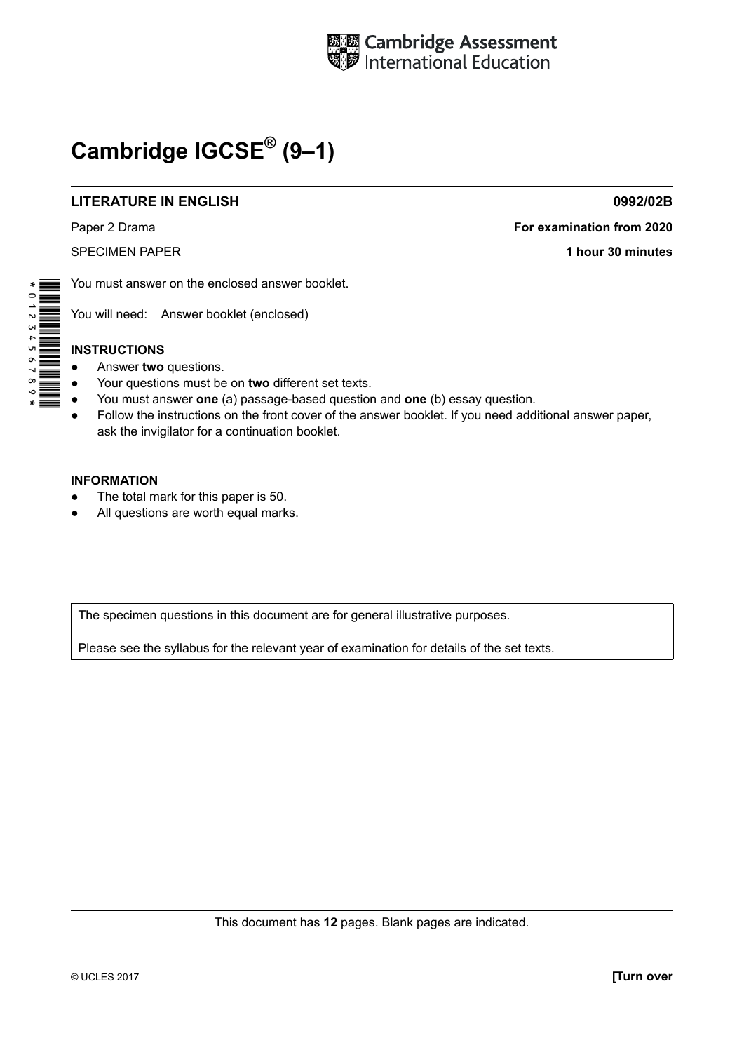

# **Cambridge IGCSE® (9–1)**

#### **LITERATURE IN ENGLISH 0992/02B**

Paper 2 Drama **For examination from 2020**

SPECIMEN PAPER **1 hour 30 minutes**

You must answer on the enclosed answer booklet.

You will need: Answer booklet (enclosed)

# \*0123456789\*

#### **INSTRUCTIONS**

- Answer **two** questions.
- Your questions must be on **two** different set texts.
- You must answer **one** (a) passage-based question and **one** (b) essay question.
- Follow the instructions on the front cover of the answer booklet. If you need additional answer paper, ask the invigilator for a continuation booklet.

#### **INFORMATION**

- The total mark for this paper is 50.
- All questions are worth equal marks.

The specimen questions in this document are for general illustrative purposes.

Please see the syllabus for the relevant year of examination for details of the set texts.

This document has **12** pages. Blank pages are indicated.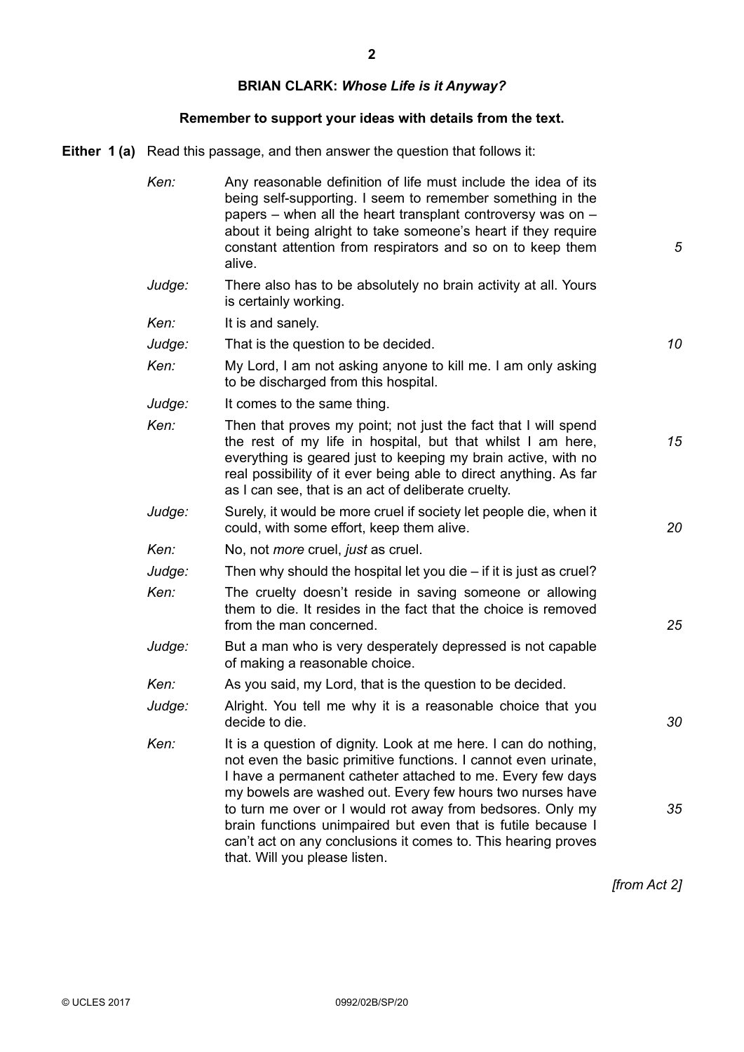# **BRIAN CLARK:** *Whose Life is it Anyway?*

# **Remember to support your ideas with details from the text.**

**Either 1 (a)** Read this passage, and then answer the question that follows it:

| Ken:   | Any reasonable definition of life must include the idea of its<br>being self-supporting. I seem to remember something in the<br>papers – when all the heart transplant controversy was on –<br>about it being alright to take someone's heart if they require<br>constant attention from respirators and so on to keep them<br>alive.                                                                                                                                                        | 5  |
|--------|----------------------------------------------------------------------------------------------------------------------------------------------------------------------------------------------------------------------------------------------------------------------------------------------------------------------------------------------------------------------------------------------------------------------------------------------------------------------------------------------|----|
| Judge: | There also has to be absolutely no brain activity at all. Yours<br>is certainly working.                                                                                                                                                                                                                                                                                                                                                                                                     |    |
| Ken:   | It is and sanely.                                                                                                                                                                                                                                                                                                                                                                                                                                                                            |    |
| Judge: | That is the question to be decided.                                                                                                                                                                                                                                                                                                                                                                                                                                                          | 10 |
| Ken:   | My Lord, I am not asking anyone to kill me. I am only asking<br>to be discharged from this hospital.                                                                                                                                                                                                                                                                                                                                                                                         |    |
| Judge: | It comes to the same thing.                                                                                                                                                                                                                                                                                                                                                                                                                                                                  |    |
| Ken:   | Then that proves my point; not just the fact that I will spend<br>the rest of my life in hospital, but that whilst I am here,<br>everything is geared just to keeping my brain active, with no<br>real possibility of it ever being able to direct anything. As far<br>as I can see, that is an act of deliberate cruelty.                                                                                                                                                                   | 15 |
| Judge: | Surely, it would be more cruel if society let people die, when it<br>could, with some effort, keep them alive.                                                                                                                                                                                                                                                                                                                                                                               | 20 |
| Ken:   | No, not <i>more</i> cruel, <i>just</i> as cruel.                                                                                                                                                                                                                                                                                                                                                                                                                                             |    |
| Judge: | Then why should the hospital let you die $-$ if it is just as cruel?                                                                                                                                                                                                                                                                                                                                                                                                                         |    |
| Ken:   | The cruelty doesn't reside in saving someone or allowing<br>them to die. It resides in the fact that the choice is removed<br>from the man concerned.                                                                                                                                                                                                                                                                                                                                        | 25 |
| Judge: | But a man who is very desperately depressed is not capable<br>of making a reasonable choice.                                                                                                                                                                                                                                                                                                                                                                                                 |    |
| Ken:   | As you said, my Lord, that is the question to be decided.                                                                                                                                                                                                                                                                                                                                                                                                                                    |    |
| Judge: | Alright. You tell me why it is a reasonable choice that you<br>decide to die.                                                                                                                                                                                                                                                                                                                                                                                                                | 30 |
| Ken:   | It is a question of dignity. Look at me here. I can do nothing,<br>not even the basic primitive functions. I cannot even urinate,<br>I have a permanent catheter attached to me. Every few days<br>my bowels are washed out. Every few hours two nurses have<br>to turn me over or I would rot away from bedsores. Only my<br>brain functions unimpaired but even that is futile because I<br>can't act on any conclusions it comes to. This hearing proves<br>that. Will you please listen. | 35 |

*[from Act 2]*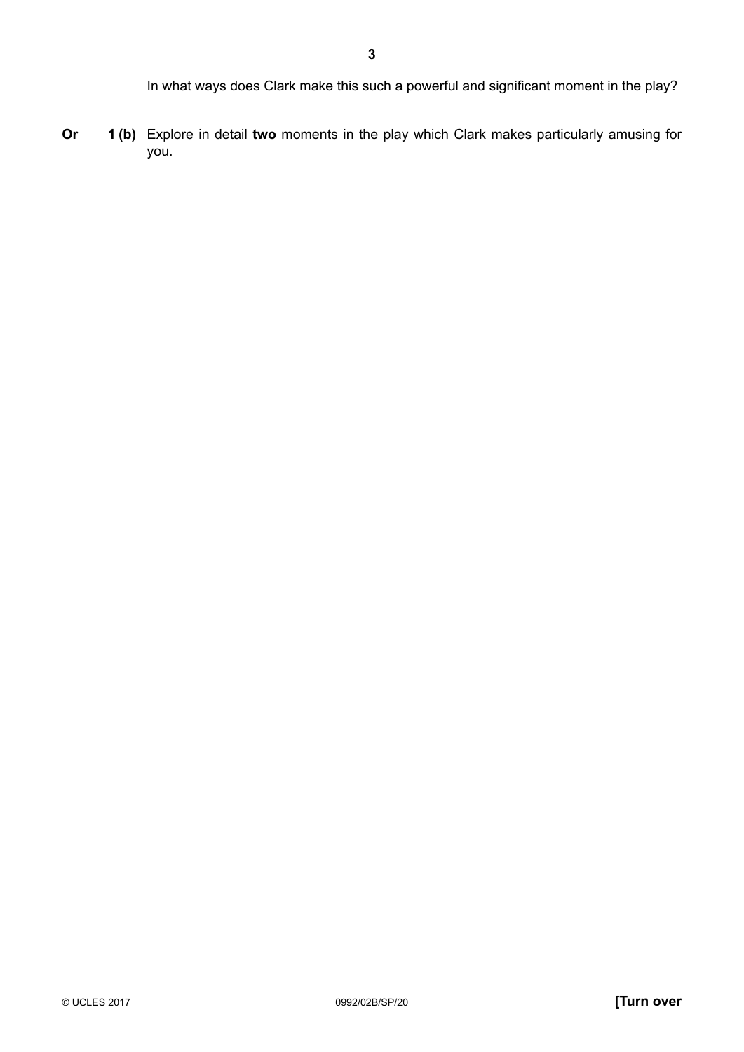**Or 1 (b)** Explore in detail **two** moments in the play which Clark makes particularly amusing for you.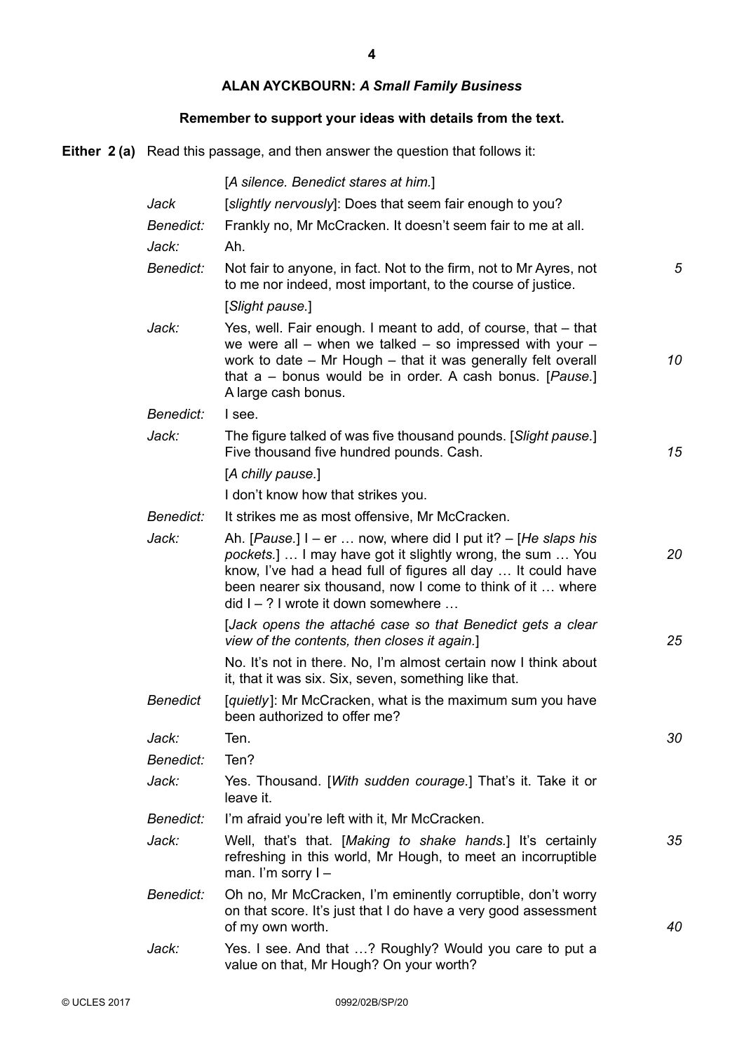**4**

# **ALAN AYCKBOURN:** *A Small Family Business*

# **Remember to support your ideas with details from the text.**

**Either 2 (a)** Read this passage, and then answer the question that follows it:

|                  | [A silence. Benedict stares at him.]                                                                                                                                                                                                                                                                                        |    |
|------------------|-----------------------------------------------------------------------------------------------------------------------------------------------------------------------------------------------------------------------------------------------------------------------------------------------------------------------------|----|
| Jack             | [slightly nervously]: Does that seem fair enough to you?                                                                                                                                                                                                                                                                    |    |
| <i>Benedict:</i> | Frankly no, Mr McCracken. It doesn't seem fair to me at all.                                                                                                                                                                                                                                                                |    |
| Jack:            | Ah.                                                                                                                                                                                                                                                                                                                         |    |
| <b>Benedict:</b> | Not fair to anyone, in fact. Not to the firm, not to Mr Ayres, not<br>to me nor indeed, most important, to the course of justice.                                                                                                                                                                                           | 5  |
|                  | [Slight pause.]                                                                                                                                                                                                                                                                                                             |    |
| Jack:            | Yes, well. Fair enough. I meant to add, of course, that – that<br>we were all $-$ when we talked $-$ so impressed with your $-$<br>work to date - Mr Hough - that it was generally felt overall<br>that a - bonus would be in order. A cash bonus. [Pause.]<br>A large cash bonus.                                          | 10 |
| Benedict:        | I see.                                                                                                                                                                                                                                                                                                                      |    |
| Jack:            | The figure talked of was five thousand pounds. [Slight pause.]<br>Five thousand five hundred pounds. Cash.                                                                                                                                                                                                                  | 15 |
|                  | [A chilly pause.]                                                                                                                                                                                                                                                                                                           |    |
|                  | I don't know how that strikes you.                                                                                                                                                                                                                                                                                          |    |
| Benedict:        | It strikes me as most offensive, Mr McCracken.                                                                                                                                                                                                                                                                              |    |
| Jack:            | Ah. [ <i>Pause.</i> ] $I - er \dots$ now, where did I put it? $-$ [ <i>He slaps his</i><br>pockets.]  I may have got it slightly wrong, the sum  You<br>know, I've had a head full of figures all day  It could have<br>been nearer six thousand, now I come to think of it  where<br>$did I - ? I$ wrote it down somewhere | 20 |
|                  | [Jack opens the attaché case so that Benedict gets a clear<br>view of the contents, then closes it again.]                                                                                                                                                                                                                  | 25 |
|                  | No. It's not in there. No, I'm almost certain now I think about<br>it, that it was six. Six, seven, something like that.                                                                                                                                                                                                    |    |
| <b>Benedict</b>  | [quietly]: Mr McCracken, what is the maximum sum you have<br>been authorized to offer me?                                                                                                                                                                                                                                   |    |
| Jack:            | Ten.                                                                                                                                                                                                                                                                                                                        | 30 |
| Benedict:        | Ten?                                                                                                                                                                                                                                                                                                                        |    |
| Jack:            | Yes. Thousand. [With sudden courage.] That's it. Take it or<br>leave it.                                                                                                                                                                                                                                                    |    |
| Benedict:        | I'm afraid you're left with it, Mr McCracken.                                                                                                                                                                                                                                                                               |    |
| Jack:            | Well, that's that. [Making to shake hands.] It's certainly<br>refreshing in this world, Mr Hough, to meet an incorruptible<br>man. I'm sorry I-                                                                                                                                                                             | 35 |
| Benedict:        | Oh no, Mr McCracken, I'm eminently corruptible, don't worry<br>on that score. It's just that I do have a very good assessment<br>of my own worth.                                                                                                                                                                           | 40 |
| Jack:            | Yes. I see. And that ? Roughly? Would you care to put a<br>value on that, Mr Hough? On your worth?                                                                                                                                                                                                                          |    |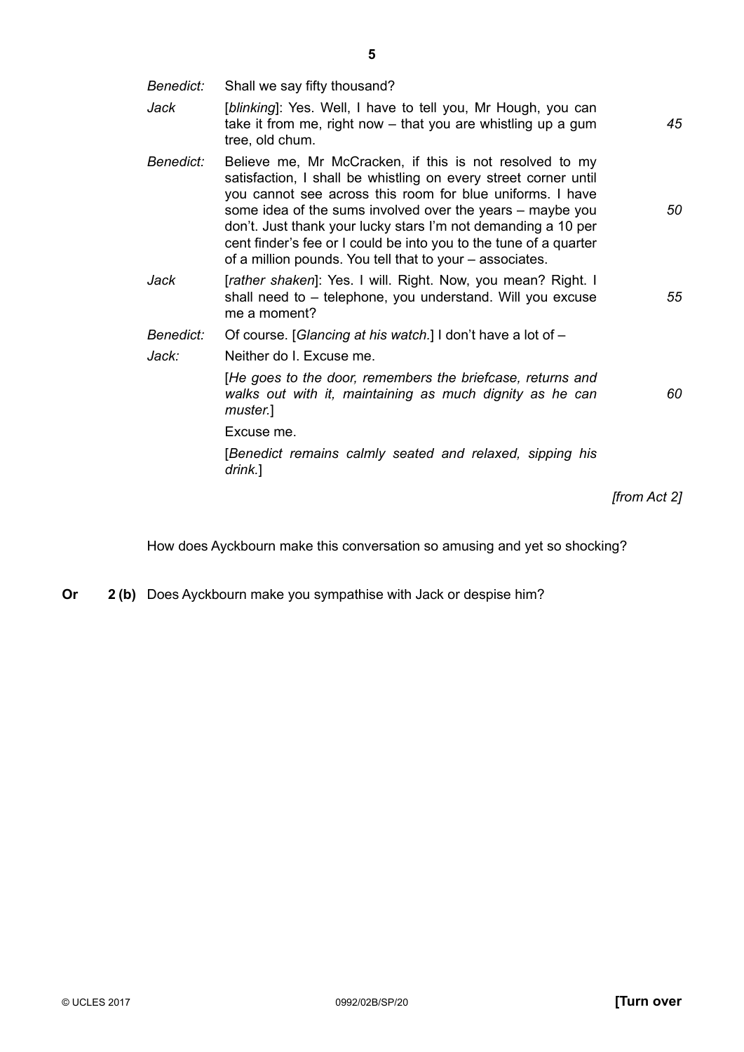*Benedict: Jack Benedict: Jack Benedict: Jack:* Shall we say fifty thousand? [*blinking*]: Yes. Well, I have to tell you, Mr Hough, you can take it from me, right now – that you are whistling up a gum tree, old chum. Believe me, Mr McCracken, if this is not resolved to my satisfaction, I shall be whistling on every street corner until you cannot see across this room for blue uniforms. I have some idea of the sums involved over the years – maybe you don't. Just thank your lucky stars I'm not demanding a 10 per cent finder's fee or I could be into you to the tune of a quarter of a million pounds. You tell that to your – associates. [rather shaken]: Yes. I will. Right. Now, you mean? Right. I shall need to – telephone, you understand. Will you excuse me a moment? Of course. [*Glancing at his watch.*] I don't have a lot of – Neither do I. Excuse me. [*He goes to the door, remembers the briefcase, returns and walks out with it, maintaining as much dignity as he can muster.*] Excuse me. [*Benedict remains calmly seated and relaxed, sipping his drink.*] *45 50 55 60*

*[from Act 2]*

How does Ayckbourn make this conversation so amusing and yet so shocking?

**Or 2 (b)** Does Ayckbourn make you sympathise with Jack or despise him?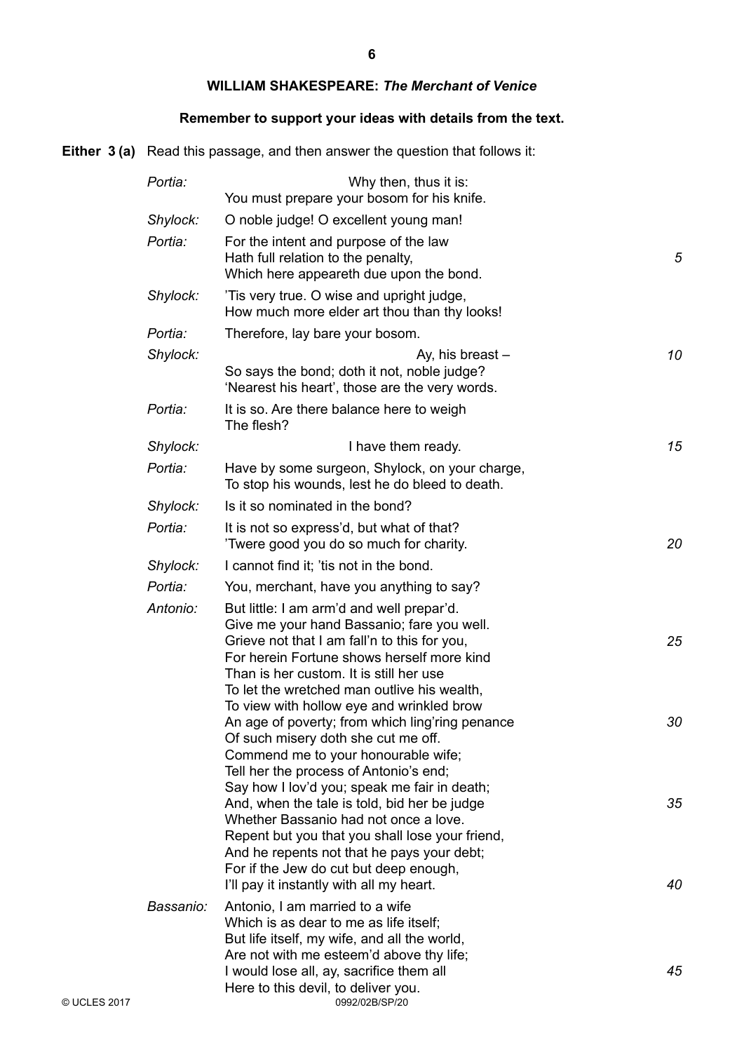#### **WILLIAM SHAKESPEARE:** *The Merchant of Venice*

# **Remember to support your ideas with details from the text.**

**Either 3 (a)** Read this passage, and then answer the question that follows it:

| Portia:   | Why then, thus it is:<br>You must prepare your bosom for his knife.                                                                                                                                                                                                              |    |
|-----------|----------------------------------------------------------------------------------------------------------------------------------------------------------------------------------------------------------------------------------------------------------------------------------|----|
| Shylock:  | O noble judge! O excellent young man!                                                                                                                                                                                                                                            |    |
| Portia:   | For the intent and purpose of the law<br>Hath full relation to the penalty,<br>Which here appeareth due upon the bond.                                                                                                                                                           | 5  |
| Shylock:  | Tis very true. O wise and upright judge,<br>How much more elder art thou than thy looks!                                                                                                                                                                                         |    |
| Portia:   | Therefore, lay bare your bosom.                                                                                                                                                                                                                                                  |    |
| Shylock:  | Ay, his breast-<br>So says the bond; doth it not, noble judge?<br>'Nearest his heart', those are the very words.                                                                                                                                                                 | 10 |
| Portia:   | It is so. Are there balance here to weigh<br>The flesh?                                                                                                                                                                                                                          |    |
| Shylock:  | I have them ready.                                                                                                                                                                                                                                                               | 15 |
| Portia:   | Have by some surgeon, Shylock, on your charge,<br>To stop his wounds, lest he do bleed to death.                                                                                                                                                                                 |    |
| Shylock:  | Is it so nominated in the bond?                                                                                                                                                                                                                                                  |    |
| Portia:   | It is not so express'd, but what of that?<br>Twere good you do so much for charity.                                                                                                                                                                                              | 20 |
| Shylock:  | I cannot find it; 'tis not in the bond.                                                                                                                                                                                                                                          |    |
| Portia:   | You, merchant, have you anything to say?                                                                                                                                                                                                                                         |    |
| Antonio:  | But little: I am arm'd and well prepar'd.<br>Give me your hand Bassanio; fare you well.<br>Grieve not that I am fall'n to this for you,<br>For herein Fortune shows herself more kind<br>Than is her custom. It is still her use<br>To let the wretched man outlive his wealth,  | 25 |
|           | To view with hollow eye and wrinkled brow<br>An age of poverty; from which ling'ring penance<br>Of such misery doth she cut me off.<br>Commend me to your honourable wife;<br>Tell her the process of Antonio's end;                                                             | 30 |
|           | Say how I lov'd you; speak me fair in death;<br>And, when the tale is told, bid her be judge<br>Whether Bassanio had not once a love.<br>Repent but you that you shall lose your friend,<br>And he repents not that he pays your debt;<br>For if the Jew do cut but deep enough, | 35 |
| Bassanio: | I'll pay it instantly with all my heart.<br>Antonio, I am married to a wife<br>Which is as dear to me as life itself;<br>But life itself, my wife, and all the world,<br>Are not with me esteem'd above thy life;                                                                | 40 |
|           | I would lose all, ay, sacrifice them all<br>Here to this devil, to deliver you.<br>0992/02B/SP/20                                                                                                                                                                                | 45 |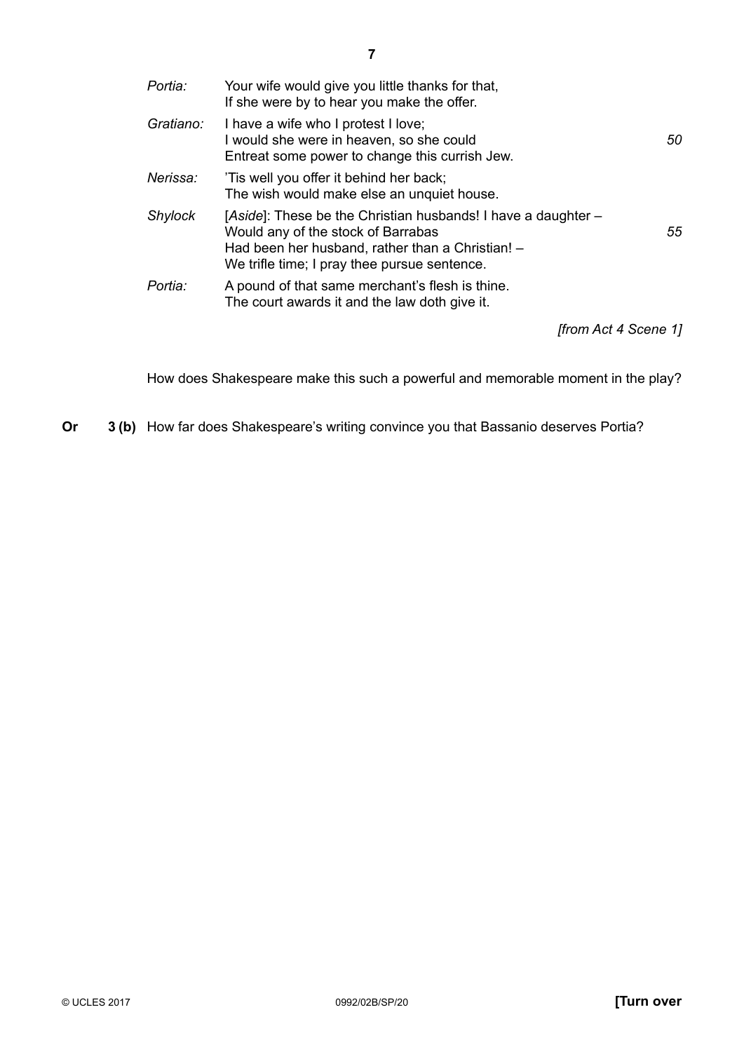| Portia:        | Your wife would give you little thanks for that,<br>If she were by to hear you make the offer.                                                                                                          |    |
|----------------|---------------------------------------------------------------------------------------------------------------------------------------------------------------------------------------------------------|----|
| Gratiano:      | I have a wife who I protest I love;<br>I would she were in heaven, so she could<br>Entreat some power to change this currish Jew.                                                                       | 50 |
| Nerissa:       | Tis well you offer it behind her back;<br>The wish would make else an unquiet house.                                                                                                                    |    |
| <b>Shylock</b> | [Aside]: These be the Christian husbands! I have a daughter –<br>Would any of the stock of Barrabas<br>Had been her husband, rather than a Christian! -<br>We trifle time; I pray thee pursue sentence. | 55 |
| Portia:        | A pound of that same merchant's flesh is thine.<br>The court awards it and the law doth give it.                                                                                                        |    |
|                | from Act 4 Scene 11                                                                                                                                                                                     |    |

How does Shakespeare make this such a powerful and memorable moment in the play?

**Or 3 (b)** How far does Shakespeare's writing convince you that Bassanio deserves Portia?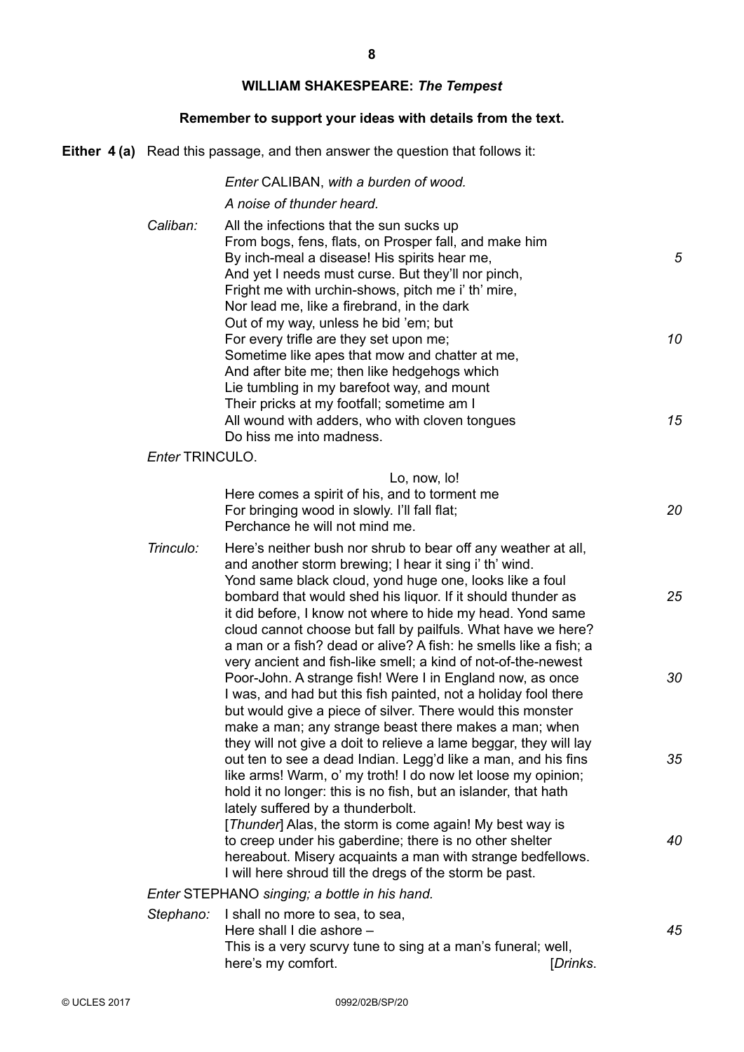# **WILLIAM SHAKESPEARE:** *The Tempest*

# **Remember to support your ideas with details from the text.**

**Either 4 (a)** Read this passage, and then answer the question that follows it:

|                        | Enter CALIBAN, with a burden of wood.                                                                                                                                                                                                                                                                                                                                                                                                                                                                                                                                                                                     |                |
|------------------------|---------------------------------------------------------------------------------------------------------------------------------------------------------------------------------------------------------------------------------------------------------------------------------------------------------------------------------------------------------------------------------------------------------------------------------------------------------------------------------------------------------------------------------------------------------------------------------------------------------------------------|----------------|
| Caliban:               | A noise of thunder heard.<br>All the infections that the sun sucks up<br>From bogs, fens, flats, on Prosper fall, and make him<br>By inch-meal a disease! His spirits hear me,<br>And yet I needs must curse. But they'll nor pinch,<br>Fright me with urchin-shows, pitch me i' th' mire,<br>Nor lead me, like a firebrand, in the dark<br>Out of my way, unless he bid 'em; but<br>For every trifle are they set upon me;<br>Sometime like apes that mow and chatter at me,<br>And after bite me; then like hedgehogs which<br>Lie tumbling in my barefoot way, and mount<br>Their pricks at my footfall; sometime am I | 5<br>10        |
|                        | All wound with adders, who with cloven tongues<br>Do hiss me into madness.                                                                                                                                                                                                                                                                                                                                                                                                                                                                                                                                                | 15             |
| <b>Enter TRINCULO.</b> |                                                                                                                                                                                                                                                                                                                                                                                                                                                                                                                                                                                                                           |                |
|                        | Lo, now, lo!<br>Here comes a spirit of his, and to torment me<br>For bringing wood in slowly. I'll fall flat;<br>Perchance he will not mind me.                                                                                                                                                                                                                                                                                                                                                                                                                                                                           | 20             |
| Trinculo:              | Here's neither bush nor shrub to bear off any weather at all,<br>and another storm brewing; I hear it sing i' th' wind.<br>Yond same black cloud, yond huge one, looks like a foul<br>bombard that would shed his liquor. If it should thunder as<br>it did before, I know not where to hide my head. Yond same<br>cloud cannot choose but fall by pailfuls. What have we here?<br>a man or a fish? dead or alive? A fish: he smells like a fish; a                                                                                                                                                                       | 25             |
|                        | very ancient and fish-like smell; a kind of not-of-the-newest<br>Poor-John. A strange fish! Were I in England now, as once<br>I was, and had but this fish painted, not a holiday fool there<br>but would give a piece of silver. There would this monster<br>make a man; any strange beast there makes a man; when<br>they will not give a doit to relieve a lame beggar, they will lay<br>out ten to see a dead Indian. Legg'd like a man, and his fins<br>like arms! Warm, o' my troth! I do now let loose my opinion;                                                                                                 | 30<br>35       |
|                        | hold it no longer: this is no fish, but an islander, that hath<br>lately suffered by a thunderbolt.<br>[Thunder] Alas, the storm is come again! My best way is<br>to creep under his gaberdine; there is no other shelter<br>hereabout. Misery acquaints a man with strange bedfellows.<br>I will here shroud till the dregs of the storm be past.                                                                                                                                                                                                                                                                        | 40             |
|                        | Enter STEPHANO singing; a bottle in his hand.                                                                                                                                                                                                                                                                                                                                                                                                                                                                                                                                                                             |                |
| Stephano:              | I shall no more to sea, to sea,<br>Here shall I die ashore -<br>This is a very scurvy tune to sing at a man's funeral; well,<br>here's my comfort.                                                                                                                                                                                                                                                                                                                                                                                                                                                                        | 45<br>[Drinks. |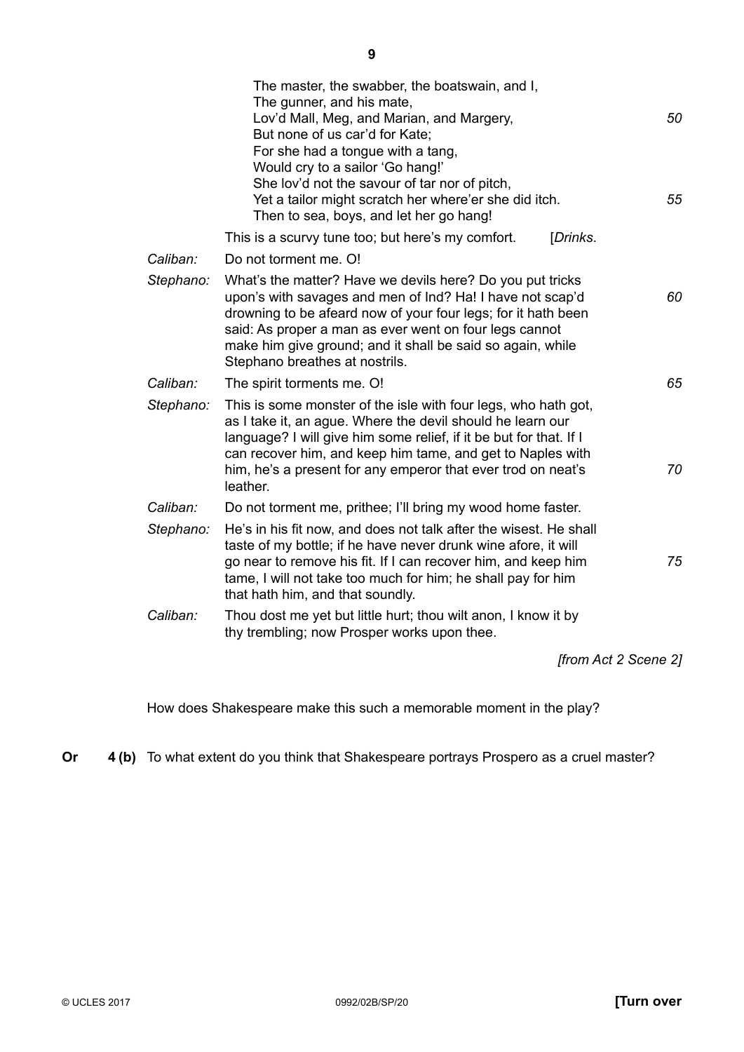|           | The master, the swabber, the boatswain, and I,<br>The gunner, and his mate,<br>Lov'd Mall, Meg, and Marian, and Margery,<br>But none of us car'd for Kate;<br>For she had a tongue with a tang,<br>Would cry to a sailor 'Go hang!'<br>She lov'd not the savour of tar nor of pitch,<br>Yet a tailor might scratch her where'er she did itch.<br>Then to sea, boys, and let her go hang! | 50<br>55             |
|-----------|------------------------------------------------------------------------------------------------------------------------------------------------------------------------------------------------------------------------------------------------------------------------------------------------------------------------------------------------------------------------------------------|----------------------|
|           | This is a scurvy tune too; but here's my comfort.<br>[Drinks.                                                                                                                                                                                                                                                                                                                            |                      |
| Caliban:  | Do not torment me. O!                                                                                                                                                                                                                                                                                                                                                                    |                      |
| Stephano: | What's the matter? Have we devils here? Do you put tricks<br>upon's with savages and men of Ind? Ha! I have not scap'd<br>drowning to be afeard now of your four legs; for it hath been<br>said: As proper a man as ever went on four legs cannot<br>make him give ground; and it shall be said so again, while<br>Stephano breathes at nostrils.                                        | 60                   |
| Caliban:  | The spirit torments me. O!                                                                                                                                                                                                                                                                                                                                                               | 65                   |
| Stephano: | This is some monster of the isle with four legs, who hath got,<br>as I take it, an ague. Where the devil should he learn our<br>language? I will give him some relief, if it be but for that. If I<br>can recover him, and keep him tame, and get to Naples with<br>him, he's a present for any emperor that ever trod on neat's<br>leather.                                             | 70                   |
| Caliban:  | Do not torment me, prithee; I'll bring my wood home faster.                                                                                                                                                                                                                                                                                                                              |                      |
| Stephano: | He's in his fit now, and does not talk after the wisest. He shall<br>taste of my bottle; if he have never drunk wine afore, it will<br>go near to remove his fit. If I can recover him, and keep him<br>tame, I will not take too much for him; he shall pay for him<br>that hath him, and that soundly.                                                                                 | 75                   |
| Caliban:  | Thou dost me yet but little hurt; thou wilt anon, I know it by<br>thy trembling; now Prosper works upon thee.                                                                                                                                                                                                                                                                            |                      |
|           |                                                                                                                                                                                                                                                                                                                                                                                          | [from Act 2 Scene 2] |

How does Shakespeare make this such a memorable moment in the play?

**Or 4 (b)** To what extent do you think that Shakespeare portrays Prospero as a cruel master?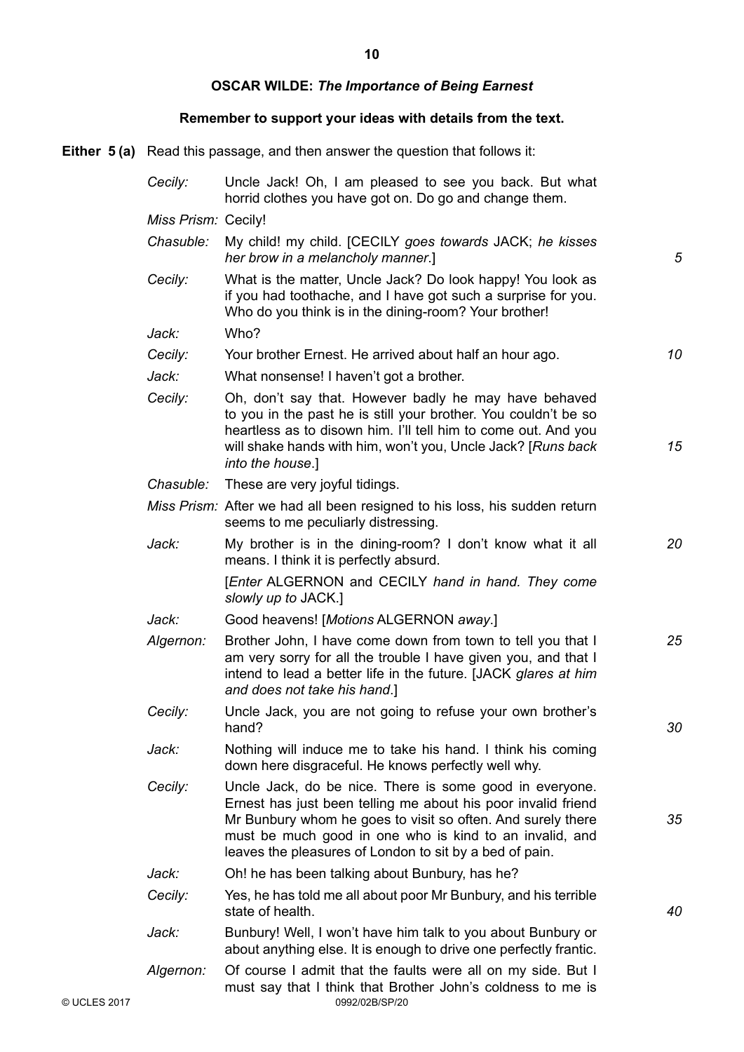**10**

# **OSCAR WILDE:** *The Importance of Being Earnest*

# **Remember to support your ideas with details from the text.**

**Either 5 (a)** Read this passage, and then answer the question that follows it:

|              | Cecily:             | Uncle Jack! Oh, I am pleased to see you back. But what<br>horrid clothes you have got on. Do go and change them.                                                                                                                                                                                              |    |
|--------------|---------------------|---------------------------------------------------------------------------------------------------------------------------------------------------------------------------------------------------------------------------------------------------------------------------------------------------------------|----|
|              | Miss Prism: Cecily! |                                                                                                                                                                                                                                                                                                               |    |
|              | Chasuble:           | My child! my child. [CECILY goes towards JACK; he kisses<br>her brow in a melancholy manner.]                                                                                                                                                                                                                 | 5  |
|              | Cecily:             | What is the matter, Uncle Jack? Do look happy! You look as<br>if you had toothache, and I have got such a surprise for you.<br>Who do you think is in the dining-room? Your brother!                                                                                                                          |    |
|              | Jack:               | Who?                                                                                                                                                                                                                                                                                                          |    |
|              | Cecily:             | Your brother Ernest. He arrived about half an hour ago.                                                                                                                                                                                                                                                       | 10 |
|              | Jack:               | What nonsense! I haven't got a brother.                                                                                                                                                                                                                                                                       |    |
|              | Cecily:             | Oh, don't say that. However badly he may have behaved<br>to you in the past he is still your brother. You couldn't be so<br>heartless as to disown him. I'll tell him to come out. And you<br>will shake hands with him, won't you, Uncle Jack? [Runs back]<br>into the house.]                               | 15 |
|              | Chasuble:           | These are very joyful tidings.                                                                                                                                                                                                                                                                                |    |
|              |                     | Miss Prism: After we had all been resigned to his loss, his sudden return<br>seems to me peculiarly distressing.                                                                                                                                                                                              |    |
|              | Jack:               | My brother is in the dining-room? I don't know what it all<br>means. I think it is perfectly absurd.                                                                                                                                                                                                          | 20 |
|              |                     | [Enter ALGERNON and CECILY hand in hand. They come<br>slowly up to JACK.]                                                                                                                                                                                                                                     |    |
|              | Jack:               | Good heavens! [Motions ALGERNON away.]                                                                                                                                                                                                                                                                        |    |
|              | Algernon:           | Brother John, I have come down from town to tell you that I<br>am very sorry for all the trouble I have given you, and that I<br>intend to lead a better life in the future. [JACK glares at him<br>and does not take his hand.]                                                                              | 25 |
|              | Cecily:             | Uncle Jack, you are not going to refuse your own brother's<br>hand?                                                                                                                                                                                                                                           | 30 |
|              | Jack:               | Nothing will induce me to take his hand. I think his coming<br>down here disgraceful. He knows perfectly well why.                                                                                                                                                                                            |    |
|              | Cecily:             | Uncle Jack, do be nice. There is some good in everyone.<br>Ernest has just been telling me about his poor invalid friend<br>Mr Bunbury whom he goes to visit so often. And surely there<br>must be much good in one who is kind to an invalid, and<br>leaves the pleasures of London to sit by a bed of pain. | 35 |
|              | Jack:               | Oh! he has been talking about Bunbury, has he?                                                                                                                                                                                                                                                                |    |
|              | Cecily:             | Yes, he has told me all about poor Mr Bunbury, and his terrible<br>state of health.                                                                                                                                                                                                                           | 40 |
|              | Jack:               | Bunbury! Well, I won't have him talk to you about Bunbury or<br>about anything else. It is enough to drive one perfectly frantic.                                                                                                                                                                             |    |
| © UCLES 2017 | Algernon:           | Of course I admit that the faults were all on my side. But I<br>must say that I think that Brother John's coldness to me is<br>0992/02B/SP/20                                                                                                                                                                 |    |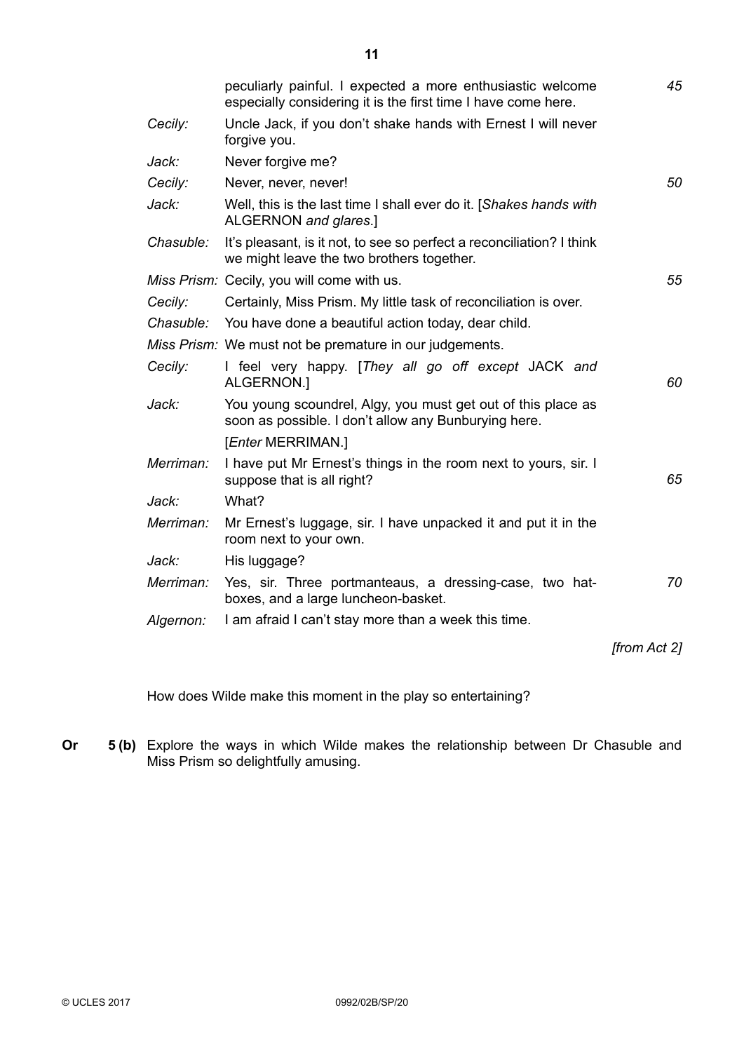|           | peculiarly painful. I expected a more enthusiastic welcome<br>especially considering it is the first time I have come here. | 45           |
|-----------|-----------------------------------------------------------------------------------------------------------------------------|--------------|
| Cecily:   | Uncle Jack, if you don't shake hands with Ernest I will never<br>forgive you.                                               |              |
| Jack:     | Never forgive me?                                                                                                           |              |
| Cecily:   | Never, never, never!                                                                                                        | 50           |
| Jack:     | Well, this is the last time I shall ever do it. [Shakes hands with<br>ALGERNON and glares.]                                 |              |
| Chasuble: | It's pleasant, is it not, to see so perfect a reconciliation? I think<br>we might leave the two brothers together.          |              |
|           | Miss Prism: Cecily, you will come with us.                                                                                  | 55           |
| Cecily:   | Certainly, Miss Prism. My little task of reconciliation is over.                                                            |              |
|           | Chasuble: You have done a beautiful action today, dear child.                                                               |              |
|           | Miss Prism: We must not be premature in our judgements.                                                                     |              |
| Cecily:   | I feel very happy. [They all go off except JACK and<br>ALGERNON.]                                                           | 60           |
| Jack:     | You young scoundrel, Algy, you must get out of this place as<br>soon as possible. I don't allow any Bunburying here.        |              |
|           | [ <i>Enter</i> MERRIMAN.]                                                                                                   |              |
| Merriman: | I have put Mr Ernest's things in the room next to yours, sir. I<br>suppose that is all right?                               | 65           |
| Jack:     | What?                                                                                                                       |              |
| Merriman: | Mr Ernest's luggage, sir. I have unpacked it and put it in the<br>room next to your own.                                    |              |
| Jack:     | His luggage?                                                                                                                |              |
| Merriman: | Yes, sir. Three portmanteaus, a dressing-case, two hat-<br>boxes, and a large luncheon-basket.                              | 70           |
| Algernon: | I am afraid I can't stay more than a week this time.                                                                        |              |
|           |                                                                                                                             | [from Act 2] |
|           |                                                                                                                             |              |

How does Wilde make this moment in the play so entertaining?

**Or 5 (b)** Explore the ways in which Wilde makes the relationship between Dr Chasuble and Miss Prism so delightfully amusing.